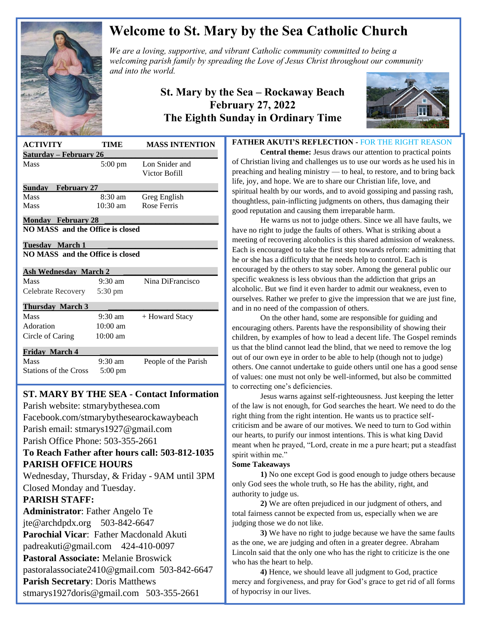

# **Welcome to St. Mary by the Sea Catholic Church**

*We are a loving, supportive, and vibrant Catholic community committed to being a We are a loving, supportive, and vibrant Catholic community committed to being a*  $\mathbb{Z}$ *welcoming parish family by spreading the Love of Jesus Christ throughout our community and into the world.*

### **St. Mary by the Sea – Rockaway Beach February 27, 2022 The Eighth Sunday in Ordinary Time**



| <b>ACTIVITY</b>                  | TIME               | <b>MASS INTENTION</b>           |
|----------------------------------|--------------------|---------------------------------|
| <u> Saturday – February 26</u>   |                    |                                 |
| Mass                             | $5:00 \text{ pm}$  | Lon Snider and<br>Victor Bofill |
| Sunday February 27               |                    |                                 |
| <b>Mass</b>                      | $8:30 \text{ am}$  | Greg English                    |
| Mass                             | $10:30 \text{ am}$ | Rose Ferris                     |
| <b>Monday February 28</b>        |                    |                                 |
| NO MASS and the Office is closed |                    |                                 |
| Tuesdav March 1                  |                    |                                 |
| NO MASS and the Office is closed |                    |                                 |
|                                  |                    |                                 |
| <b>Ash Wednesday March 2</b>     |                    |                                 |
| Mass                             | $9:30 \text{ am}$  | Nina DiFrancisco                |
| Celebrate Recovery               | 5:30 pm            |                                 |
| <b>Thursday March 3</b>          |                    |                                 |
| Mass                             | $9:30 \text{ am}$  | + Howard Stacy                  |
| Adoration                        | $10:00$ am         |                                 |
| Circle of Caring                 | $10:00$ am         |                                 |
| <b>Friday March 4</b>            |                    |                                 |
| Mass                             | $9:30 \text{ am}$  | People of the Parish            |
| <b>Stations of the Cross</b>     | $5:00 \text{ pm}$  |                                 |
|                                  |                    |                                 |

# **ST. MARY BY THE SEA - Contact Information**

 Facebook.com/stmarybythesearockawaybeach Parish website: stmarybythesea.com Parish email: stmarys1927@gmail.com Parish Office Phone: 503-355-2661

#### **To Reach Father after hours call: 503-812-1035 PARISH OFFICE HOURS**

Wednesday, Thursday, & Friday - 9AM until 3PM Closed Monday and Tuesday.

### **PARISH STAFF:**

 

> **Administrator**: Father Angelo Te jte@archdpdx.org 503-842-6647 **Parochial Vicar**: Father Macdonald Akuti padreakuti@gmail.com 424-410-0097 **Pastoral Associate:** Melanie Broswick pastoralassociate2410@gmail.com 503-842-6647 **Parish Secretary**: Doris Matthews stmarys1927doris@gmail.com 503-355-2661

#### **FATHER AKUTI'S REFLECTION -** FOR THE RIGHT REASON

**Central theme:** Jesus draws our attention to practical points of Christian living and challenges us to use our words as he used his in preaching and healing ministry — to heal, to restore, and to bring back life, joy, and hope. We are to share our Christian life, love, and spiritual health by our words, and to avoid gossiping and passing rash, thoughtless, pain-inflicting judgments on others, thus damaging their good reputation and causing them irreparable harm.

He warns us not to judge others. Since we all have faults, we have no right to judge the faults of others. What is striking about a meeting of recovering alcoholics is this shared admission of weakness. Each is encouraged to take the first step towards reform: admitting that he or she has a difficulty that he needs help to control. Each is encouraged by the others to stay sober. Among the general public our specific weakness is less obvious than the addiction that grips an alcoholic. But we find it even harder to admit our weakness, even to ourselves. Rather we prefer to give the impression that we are just fine, and in no need of the compassion of others.

On the other hand, some are responsible for guiding and encouraging others. Parents have the responsibility of showing their children, by examples of how to lead a decent life. The Gospel reminds us that the blind cannot lead the blind, that we need to remove the log out of our own eye in order to be able to help (though not to judge) others. One cannot undertake to guide others until one has a good sense of values: one must not only be well-informed, but also be committed to correcting one's deficiencies.

Jesus warns against self-righteousness. Just keeping the letter of the law is not enough, for God searches the heart. We need to do the right thing from the right intention. He wants us to practice selfcriticism and be aware of our motives. We need to turn to God within our hearts, to purify our inmost intentions. This is what king David meant when he prayed, "Lord, create in me a pure heart; put a steadfast spirit within me."

#### **Some Takeaways**

**1)** No one except God is good enough to judge others because only God sees the whole truth, so He has the ability, right, and authority to judge us.

**2)** We are often prejudiced in our judgment of others, and total fairness cannot be expected from us, especially when we are judging those we do not like.

**3)** We have no right to judge because we have the same faults as the one, we are judging and often in a greater degree. Abraham Lincoln said that the only one who has the right to criticize is the one who has the heart to help.

**4)** Hence, we should leave all judgment to God, practice mercy and forgiveness, and pray for God's grace to get rid of all forms of hypocrisy in our lives.